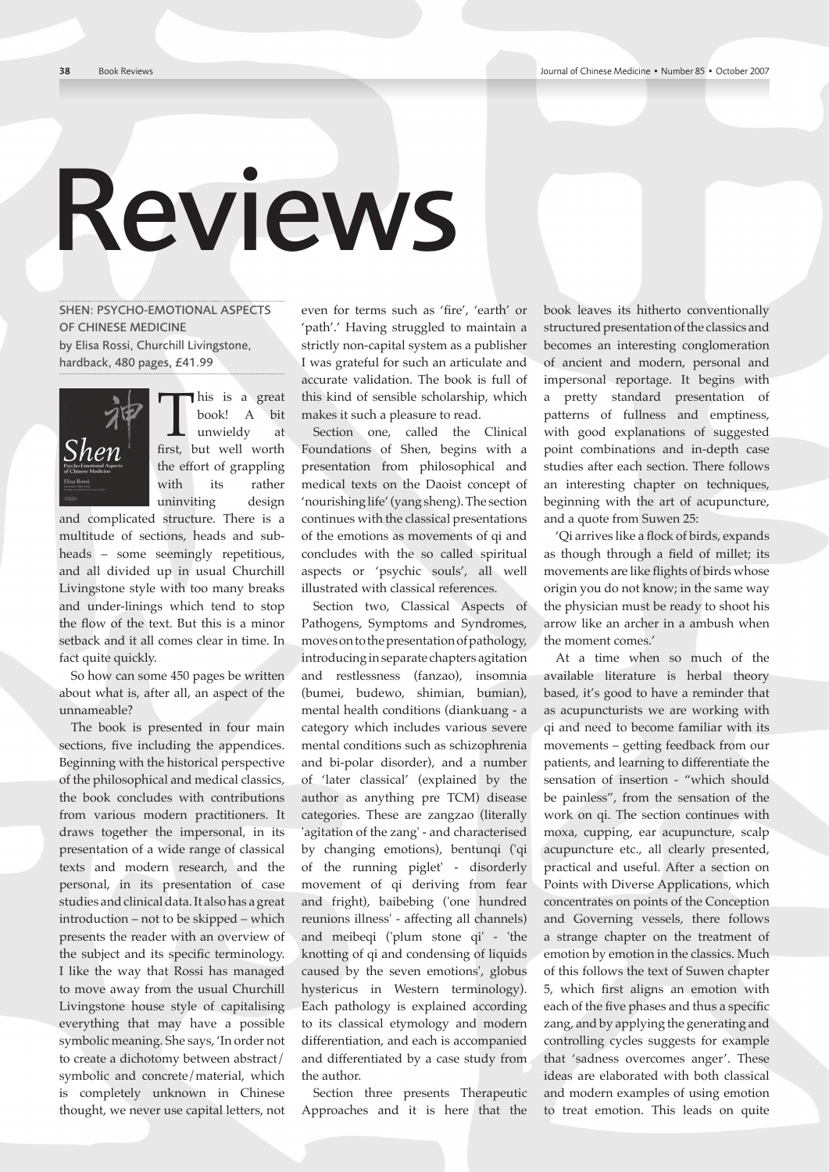## Reviews

SHEN: PSYCHO-EMOTIONAL ASPECTS OF CHINESE MEDICINE by Elisa Rossi, Churchill Livingstone, hardback, 480 pages, £41.99



This is a great<br>book! A bit<br>first, but well worth book! A bit unwieldy at the effort of grappling with its rather uninviting design

and complicated structure. There is a multitude of sections, heads and subheads – some seemingly repetitious, and all divided up in usual Churchill Livingstone style with too many breaks and under-linings which tend to stop the flow of the text. But this is a minor setback and it all comes clear in time. In fact quite quickly.

So how can some 450 pages be written about what is, after all, an aspect of the unnameable?

The book is presented in four main sections, five including the appendices. Beginning with the historical perspective of the philosophical and medical classics, the book concludes with contributions from various modern practitioners. It draws together the impersonal, in its presentation of a wide range of classical texts and modern research, and the personal, in its presentation of case studies and clinical data. It also has a great introduction – not to be skipped – which presents the reader with an overview of the subject and its specific terminology. I like the way that Rossi has managed to move away from the usual Churchill Livingstone house style of capitalising everything that may have a possible symbolic meaning. She says, 'In order not to create a dichotomy between abstract/ symbolic and concrete/material, which is completely unknown in Chinese thought, we never use capital letters, not

even for terms such as 'fire', 'earth' or 'path'.' Having struggled to maintain a strictly non-capital system as a publisher I was grateful for such an articulate and accurate validation. The book is full of this kind of sensible scholarship, which makes it such a pleasure to read.

Section one, called the Clinical Foundations of Shen, begins with a presentation from philosophical and medical texts on the Daoist concept of 'nourishing life' (yang sheng). The section continues with the classical presentations of the emotions as movements of qi and concludes with the so called spiritual aspects or 'psychic souls', all well illustrated with classical references.

Section two, Classical Aspects of Pathogens, Symptoms and Syndromes, moves on to the presentation of pathology, introducing in separate chapters agitation and restlessness (fanzao), insomnia (bumei, budewo, shimian, bumian), mental health conditions (diankuang - a category which includes various severe mental conditions such as schizophrenia and bi-polar disorder), and a number of 'later classical' (explained by the author as anything pre TCM) disease categories. These are zangzao (literally 'agitation of the zang' - and characterised by changing emotions), bentunqi ('qi of the running piglet' - disorderly movement of qi deriving from fear and fright), baibebing ('one hundred reunions illness' - affecting all channels) and meibeqi ('plum stone qi' - 'the knotting of qi and condensing of liquids caused by the seven emotions', globus hystericus in Western terminology). Each pathology is explained according to its classical etymology and modern differentiation, and each is accompanied and differentiated by a case study from the author.

Section three presents Therapeutic Approaches and it is here that the book leaves its hitherto conventionally structured presentation of the classics and becomes an interesting conglomeration of ancient and modern, personal and impersonal reportage. It begins with a pretty standard presentation of patterns of fullness and emptiness, with good explanations of suggested point combinations and in-depth case studies after each section. There follows an interesting chapter on techniques, beginning with the art of acupuncture, and a quote from Suwen 25:

'Qi arrives like a flock of birds, expands as though through a field of millet; its movements are like flights of birds whose origin you do not know; in the same way the physician must be ready to shoot his arrow like an archer in a ambush when the moment comes.'

At a time when so much of the available literature is herbal theory based, it's good to have a reminder that as acupuncturists we are working with qi and need to become familiar with its movements – getting feedback from our patients, and learning to differentiate the sensation of insertion - "which should be painless", from the sensation of the work on qi. The section continues with moxa, cupping, ear acupuncture, scalp acupuncture etc., all clearly presented, practical and useful. After a section on Points with Diverse Applications, which concentrates on points of the Conception and Governing vessels, there follows a strange chapter on the treatment of emotion by emotion in the classics. Much of this follows the text of Suwen chapter 5, which first aligns an emotion with each of the five phases and thus a specific zang, and by applying the generating and controlling cycles suggests for example that 'sadness overcomes anger'. These ideas are elaborated with both classical and modern examples of using emotion to treat emotion. This leads on quite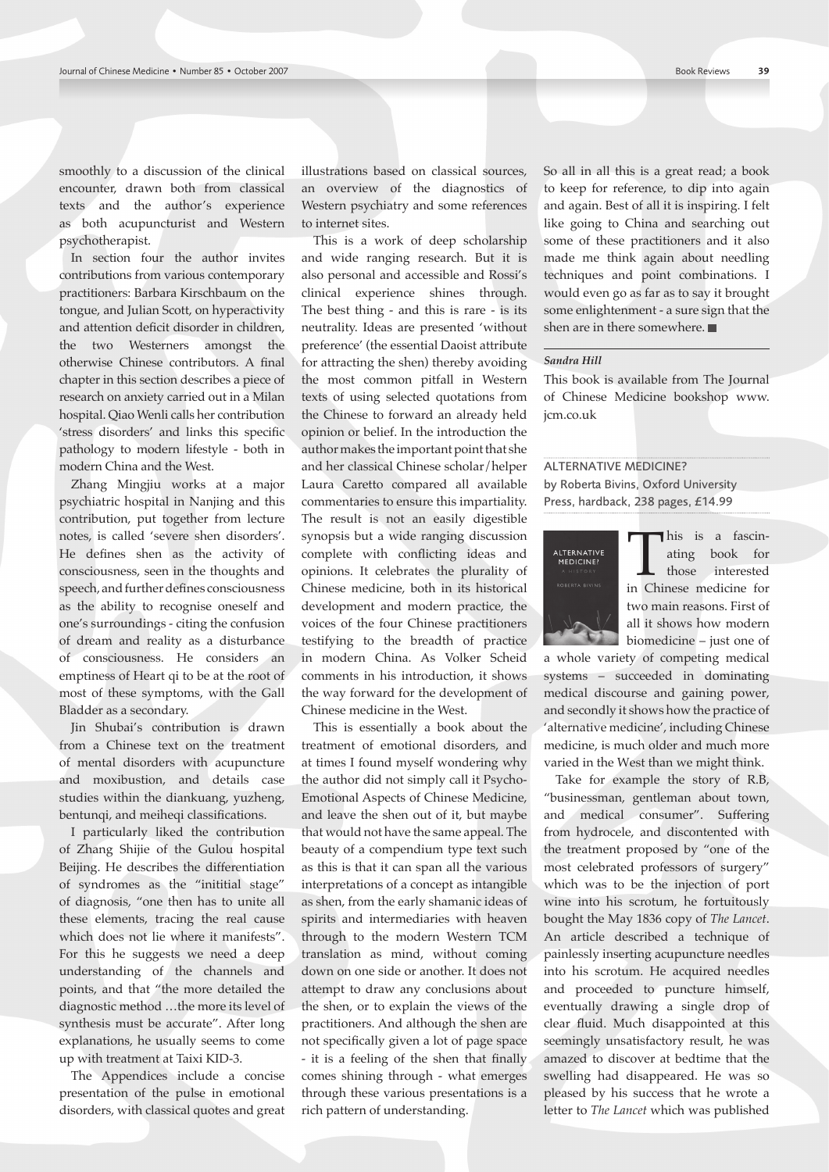smoothly to a discussion of the clinical encounter, drawn both from classical texts and the author's experience as both acupuncturist and Western psychotherapist.

In section four the author invites contributions from various contemporary practitioners: Barbara Kirschbaum on the tongue, and Julian Scott, on hyperactivity and attention deficit disorder in children, the two Westerners amongst the otherwise Chinese contributors. A final chapter in this section describes a piece of research on anxiety carried out in a Milan hospital. Qiao Wenli calls her contribution 'stress disorders' and links this specific pathology to modern lifestyle - both in modern China and the West.

Zhang Mingjiu works at a major psychiatric hospital in Nanjing and this contribution, put together from lecture notes, is called 'severe shen disorders'. He defines shen as the activity of consciousness, seen in the thoughts and speech, and further defines consciousness as the ability to recognise oneself and one's surroundings - citing the confusion of dream and reality as a disturbance of consciousness. He considers an emptiness of Heart qi to be at the root of most of these symptoms, with the Gall Bladder as a secondary.

Jin Shubai's contribution is drawn from a Chinese text on the treatment of mental disorders with acupuncture and moxibustion, and details case studies within the diankuang, yuzheng, bentunqi, and meiheqi classifications.

I particularly liked the contribution of Zhang Shijie of the Gulou hospital Beijing. He describes the differentiation of syndromes as the "inititial stage" of diagnosis, "one then has to unite all these elements, tracing the real cause which does not lie where it manifests". For this he suggests we need a deep understanding of the channels and points, and that "the more detailed the diagnostic method …the more its level of synthesis must be accurate". After long explanations, he usually seems to come up with treatment at Taixi KID-3.

The Appendices include a concise presentation of the pulse in emotional disorders, with classical quotes and great

illustrations based on classical sources, an overview of the diagnostics of Western psychiatry and some references to internet sites.

This is a work of deep scholarship and wide ranging research. But it is also personal and accessible and Rossi's clinical experience shines through. The best thing - and this is rare - is its neutrality. Ideas are presented 'without preference' (the essential Daoist attribute for attracting the shen) thereby avoiding the most common pitfall in Western texts of using selected quotations from the Chinese to forward an already held opinion or belief. In the introduction the author makes the important point that she and her classical Chinese scholar/helper Laura Caretto compared all available commentaries to ensure this impartiality. The result is not an easily digestible synopsis but a wide ranging discussion complete with conflicting ideas and opinions. It celebrates the plurality of Chinese medicine, both in its historical development and modern practice, the voices of the four Chinese practitioners testifying to the breadth of practice in modern China. As Volker Scheid comments in his introduction, it shows the way forward for the development of Chinese medicine in the West.

This is essentially a book about the treatment of emotional disorders, and at times I found myself wondering why the author did not simply call it Psycho-Emotional Aspects of Chinese Medicine, and leave the shen out of it, but maybe that would not have the same appeal. The beauty of a compendium type text such as this is that it can span all the various interpretations of a concept as intangible as shen, from the early shamanic ideas of spirits and intermediaries with heaven through to the modern Western TCM translation as mind, without coming down on one side or another. It does not attempt to draw any conclusions about the shen, or to explain the views of the practitioners. And although the shen are not specifically given a lot of page space - it is a feeling of the shen that finally comes shining through - what emerges through these various presentations is a rich pattern of understanding.

So all in all this is a great read; a book to keep for reference, to dip into again and again. Best of all it is inspiring. I felt like going to China and searching out some of these practitioners and it also made me think again about needling techniques and point combinations. I would even go as far as to say it brought some enlightenment - a sure sign that the shen are in there somewhere.

## *Sandra Hill*

This book is available from The Journal of Chinese Medicine bookshop www. jcm.co.uk

## ALTERNATIVE MEDICINE? by Roberta Bivins, Oxford University Press, hardback, 238 pages, £14.99



This is a fascin-<br>ating book for<br>those interested<br>in Chinese medicine for ating book for those interested in Chinese medicine for two main reasons. First of all it shows how modern biomedicine – just one of

a whole variety of competing medical systems – succeeded in dominating medical discourse and gaining power, and secondly it shows how the practice of 'alternative medicine', including Chinese medicine, is much older and much more varied in the West than we might think.

Take for example the story of R.B, "businessman, gentleman about town, and medical consumer". Suffering from hydrocele, and discontented with the treatment proposed by "one of the most celebrated professors of surgery" which was to be the injection of port wine into his scrotum, he fortuitously bought the May 1836 copy of *The Lancet*. An article described a technique of painlessly inserting acupuncture needles into his scrotum. He acquired needles and proceeded to puncture himself, eventually drawing a single drop of clear fluid. Much disappointed at this seemingly unsatisfactory result, he was amazed to discover at bedtime that the swelling had disappeared. He was so pleased by his success that he wrote a letter to *The Lancet* which was published